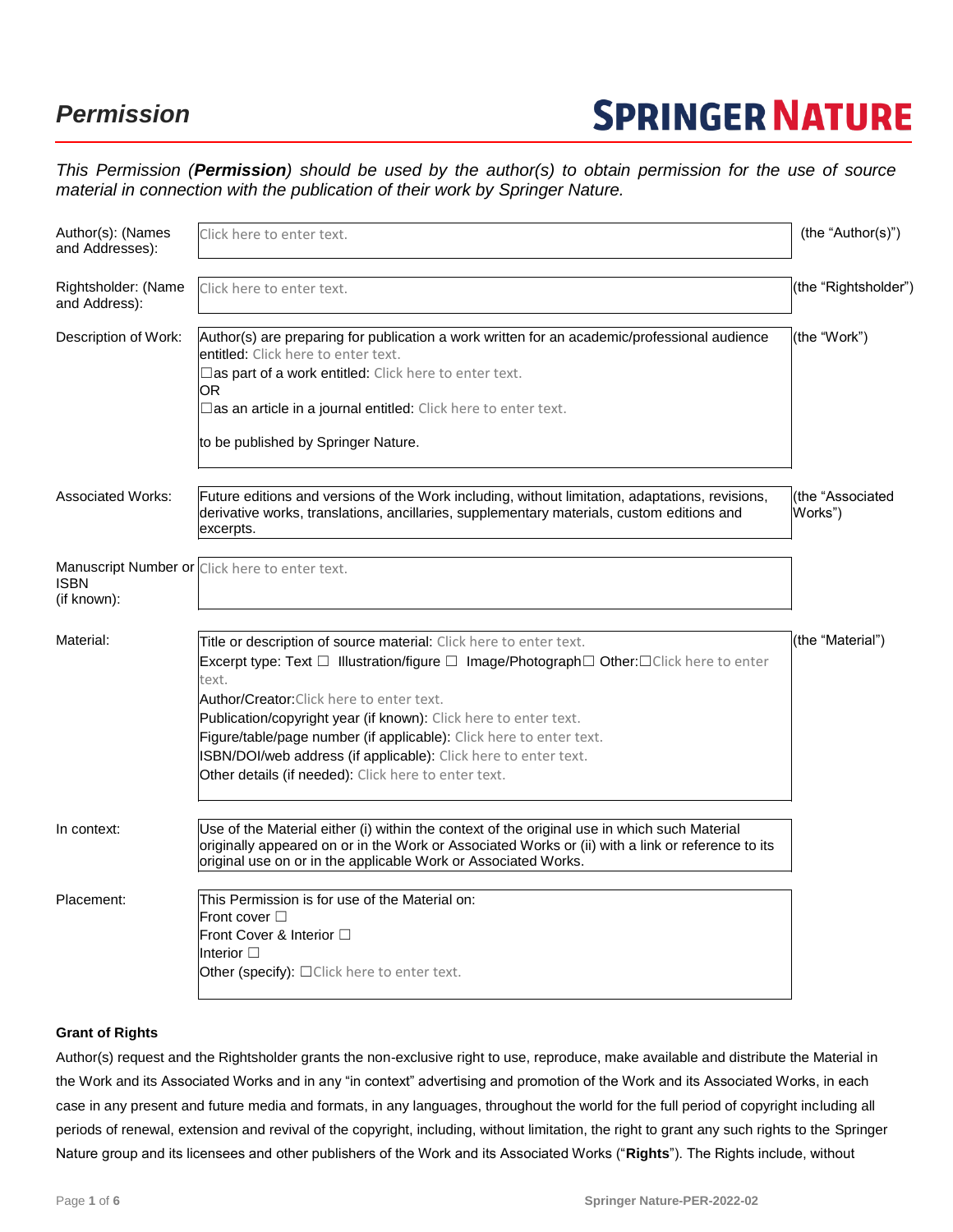## *Permission*

# **SPRINGER NATURE**

*This Permission (Permission) should be used by the author(s) to obtain permission for the use of source material in connection with the publication of their work by Springer Nature.*

| Author(s): (Names<br>and Addresses): | Click here to enter text.                                                                                                                                                                                                                                                                                                                                                                                                                                                                                               | (the "Author(s)")           |
|--------------------------------------|-------------------------------------------------------------------------------------------------------------------------------------------------------------------------------------------------------------------------------------------------------------------------------------------------------------------------------------------------------------------------------------------------------------------------------------------------------------------------------------------------------------------------|-----------------------------|
| Rightsholder: (Name<br>and Address): | Click here to enter text.                                                                                                                                                                                                                                                                                                                                                                                                                                                                                               | (the "Rightsholder")        |
| Description of Work:                 | Author(s) are preparing for publication a work written for an academic/professional audience<br>entitled: Click here to enter text.<br>$\square$ as part of a work entitled: Click here to enter text.<br>OR<br>$\square$ as an article in a journal entitled: Click here to enter text.<br>to be published by Springer Nature.                                                                                                                                                                                         | (the "Work")                |
| <b>Associated Works:</b>             | Future editions and versions of the Work including, without limitation, adaptations, revisions,<br>derivative works, translations, ancillaries, supplementary materials, custom editions and<br>excerpts.                                                                                                                                                                                                                                                                                                               | (the "Associated<br>Works") |
| <b>ISBN</b><br>(if known):           | Manuscript Number or Click here to enter text.                                                                                                                                                                                                                                                                                                                                                                                                                                                                          |                             |
| Material:                            | Title or description of source material: Click here to enter text.<br>Excerpt type: Text $\Box$ Illustration/figure $\Box$ Image/Photograph $\Box$ Other: $\Box$ Click here to enter<br>text.<br><b>Author/Creator:</b> Click here to enter text.<br>Publication/copyright year (if known): Click here to enter text.<br>Figure/table/page number (if applicable): Click here to enter text.<br>ISBN/DOI/web address (if applicable): Click here to enter text.<br>Other details (if needed): Click here to enter text. | (the "Material")            |
| In context:                          | Use of the Material either (i) within the context of the original use in which such Material<br>originally appeared on or in the Work or Associated Works or (ii) with a link or reference to its<br>original use on or in the applicable Work or Associated Works.                                                                                                                                                                                                                                                     |                             |
| Placement:                           | This Permission is for use of the Material on:<br>Front cover $\Box$<br>Front Cover & Interior □<br>Interior $\Box$<br>Other (specify): $\Box$ Click here to enter text.                                                                                                                                                                                                                                                                                                                                                |                             |

## **Grant of Rights**

Author(s) request and the Rightsholder grants the non-exclusive right to use, reproduce, make available and distribute the Material in the Work and its Associated Works and in any "in context" advertising and promotion of the Work and its Associated Works, in each case in any present and future media and formats, in any languages, throughout the world for the full period of copyright including all periods of renewal, extension and revival of the copyright, including, without limitation, the right to grant any such rights to the Springer Nature group and its licensees and other publishers of the Work and its Associated Works ("**Rights**"). The Rights include, without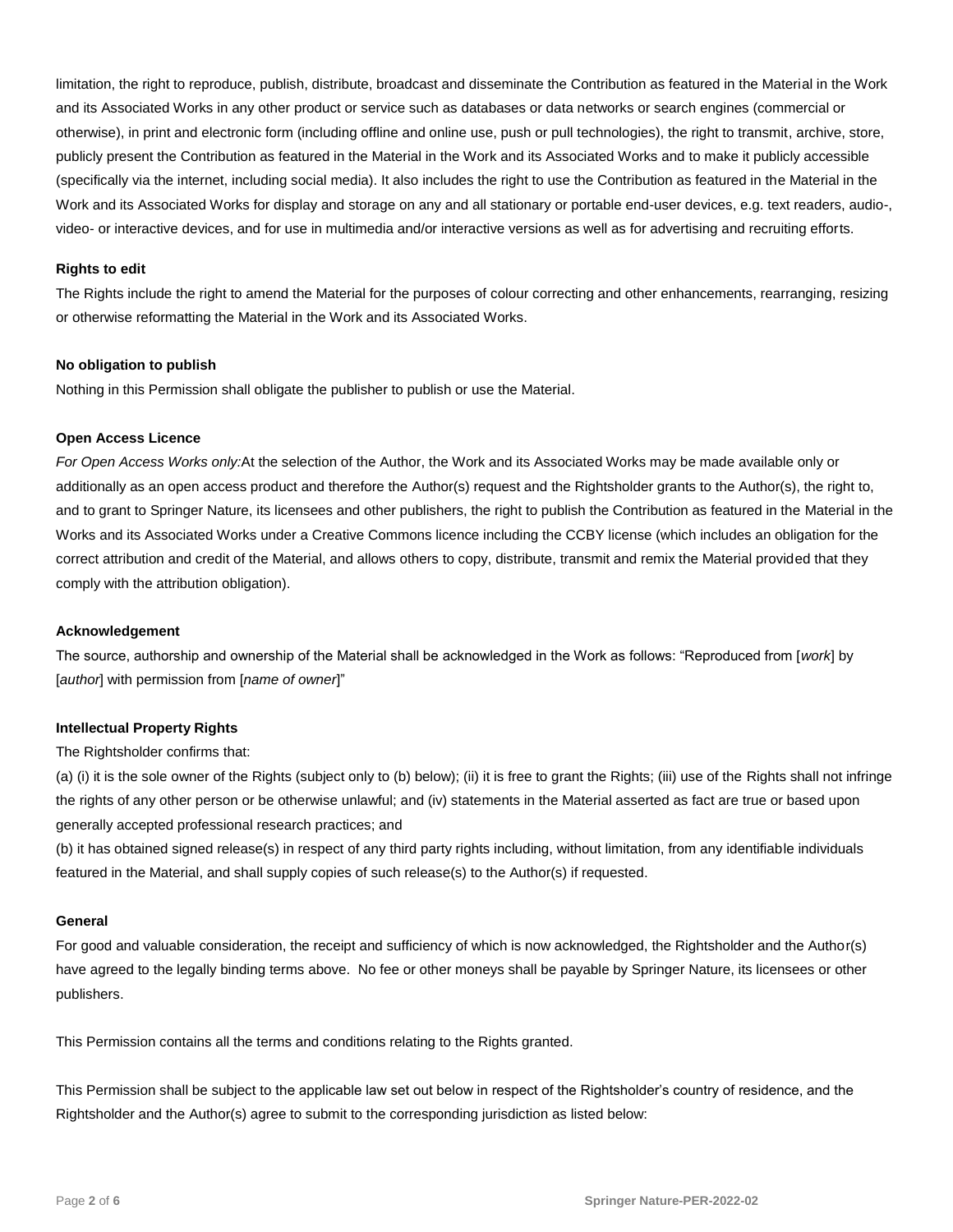limitation, the right to reproduce, publish, distribute, broadcast and disseminate the Contribution as featured in the Material in the Work and its Associated Works in any other product or service such as databases or data networks or search engines (commercial or otherwise), in print and electronic form (including offline and online use, push or pull technologies), the right to transmit, archive, store, publicly present the Contribution as featured in the Material in the Work and its Associated Works and to make it publicly accessible (specifically via the internet, including social media). It also includes the right to use the Contribution as featured in the Material in the Work and its Associated Works for display and storage on any and all stationary or portable end-user devices, e.g. text readers, audio-, video- or interactive devices, and for use in multimedia and/or interactive versions as well as for advertising and recruiting efforts.

## **Rights to edit**

The Rights include the right to amend the Material for the purposes of colour correcting and other enhancements, rearranging, resizing or otherwise reformatting the Material in the Work and its Associated Works.

## **No obligation to publish**

Nothing in this Permission shall obligate the publisher to publish or use the Material.

## **Open Access Licence**

*For Open Access Works only:*At the selection of the Author, the Work and its Associated Works may be made available only or additionally as an open access product and therefore the Author(s) request and the Rightsholder grants to the Author(s), the right to, and to grant to Springer Nature, its licensees and other publishers, the right to publish the Contribution as featured in the Material in the Works and its Associated Works under a Creative Commons licence including the CCBY license (which includes an obligation for the correct attribution and credit of the Material, and allows others to copy, distribute, transmit and remix the Material provided that they comply with the attribution obligation).

## **Acknowledgement**

The source, authorship and ownership of the Material shall be acknowledged in the Work as follows: "Reproduced from [*work*] by [*author*] with permission from [*name of owner*]"

## **Intellectual Property Rights**

The Rightsholder confirms that:

(a) (i) it is the sole owner of the Rights (subject only to (b) below); (ii) it is free to grant the Rights; (iii) use of the Rights shall not infringe the rights of any other person or be otherwise unlawful; and (iv) statements in the Material asserted as fact are true or based upon generally accepted professional research practices; and

(b) it has obtained signed release(s) in respect of any third party rights including, without limitation, from any identifiable individuals featured in the Material, and shall supply copies of such release(s) to the Author(s) if requested.

## **General**

For good and valuable consideration, the receipt and sufficiency of which is now acknowledged, the Rightsholder and the Author(s) have agreed to the legally binding terms above. No fee or other moneys shall be payable by Springer Nature, its licensees or other publishers.

This Permission contains all the terms and conditions relating to the Rights granted.

This Permission shall be subject to the applicable law set out below in respect of the Rightsholder's country of residence, and the Rightsholder and the Author(s) agree to submit to the corresponding jurisdiction as listed below: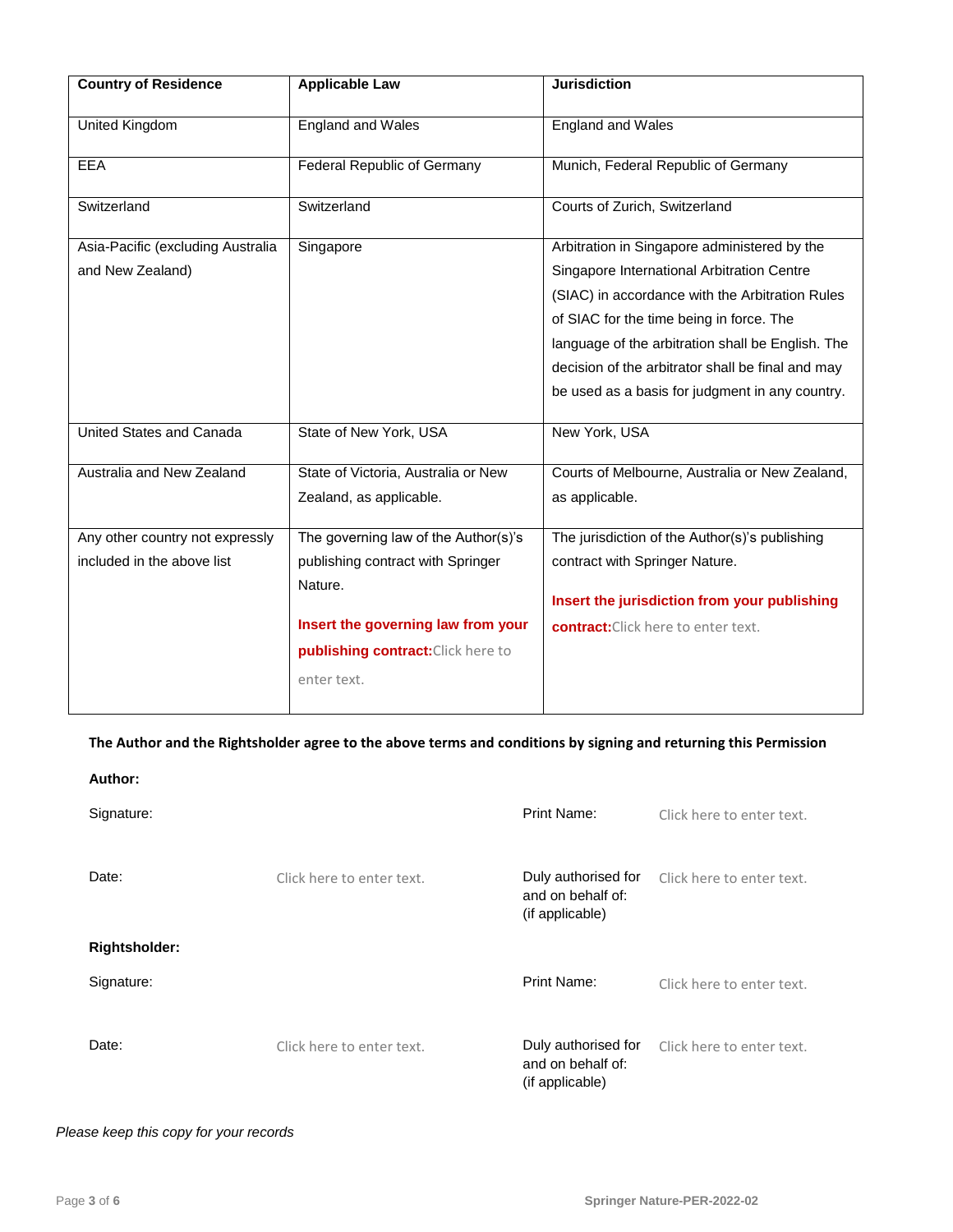| <b>Country of Residence</b>                                   | <b>Applicable Law</b>                                                                                                                                                           | <b>Jurisdiction</b>                                                                                                                                                                                                                                                                                                                                    |
|---------------------------------------------------------------|---------------------------------------------------------------------------------------------------------------------------------------------------------------------------------|--------------------------------------------------------------------------------------------------------------------------------------------------------------------------------------------------------------------------------------------------------------------------------------------------------------------------------------------------------|
| <b>United Kingdom</b>                                         | <b>England and Wales</b>                                                                                                                                                        | <b>England and Wales</b>                                                                                                                                                                                                                                                                                                                               |
| <b>EEA</b>                                                    | <b>Federal Republic of Germany</b>                                                                                                                                              | Munich, Federal Republic of Germany                                                                                                                                                                                                                                                                                                                    |
| Switzerland                                                   | Switzerland                                                                                                                                                                     | Courts of Zurich, Switzerland                                                                                                                                                                                                                                                                                                                          |
| Asia-Pacific (excluding Australia<br>and New Zealand)         | Singapore                                                                                                                                                                       | Arbitration in Singapore administered by the<br>Singapore International Arbitration Centre<br>(SIAC) in accordance with the Arbitration Rules<br>of SIAC for the time being in force. The<br>language of the arbitration shall be English. The<br>decision of the arbitrator shall be final and may<br>be used as a basis for judgment in any country. |
| United States and Canada                                      | State of New York, USA                                                                                                                                                          | New York, USA                                                                                                                                                                                                                                                                                                                                          |
| Australia and New Zealand                                     | State of Victoria, Australia or New<br>Zealand, as applicable.                                                                                                                  | Courts of Melbourne, Australia or New Zealand,<br>as applicable.                                                                                                                                                                                                                                                                                       |
| Any other country not expressly<br>included in the above list | The governing law of the Author(s)'s<br>publishing contract with Springer<br>Nature.<br>Insert the governing law from your<br>publishing contract: Click here to<br>enter text. | The jurisdiction of the Author(s)'s publishing<br>contract with Springer Nature.<br>Insert the jurisdiction from your publishing<br>contract: Click here to enter text.                                                                                                                                                                                |

## **The Author and the Rightsholder agree to the above terms and conditions by signing and returning this Permission**

| Author:              |                           |                                                             |                           |
|----------------------|---------------------------|-------------------------------------------------------------|---------------------------|
| Signature:           |                           | Print Name:                                                 | Click here to enter text. |
| Date:                | Click here to enter text. | Duly authorised for<br>and on behalf of:<br>(if applicable) | Click here to enter text. |
| <b>Rightsholder:</b> |                           |                                                             |                           |
| Signature:           |                           | Print Name:                                                 | Click here to enter text. |
| Date:                | Click here to enter text. | Duly authorised for<br>and on behalf of:<br>(if applicable) | Click here to enter text. |

## *Please keep this copy for your records*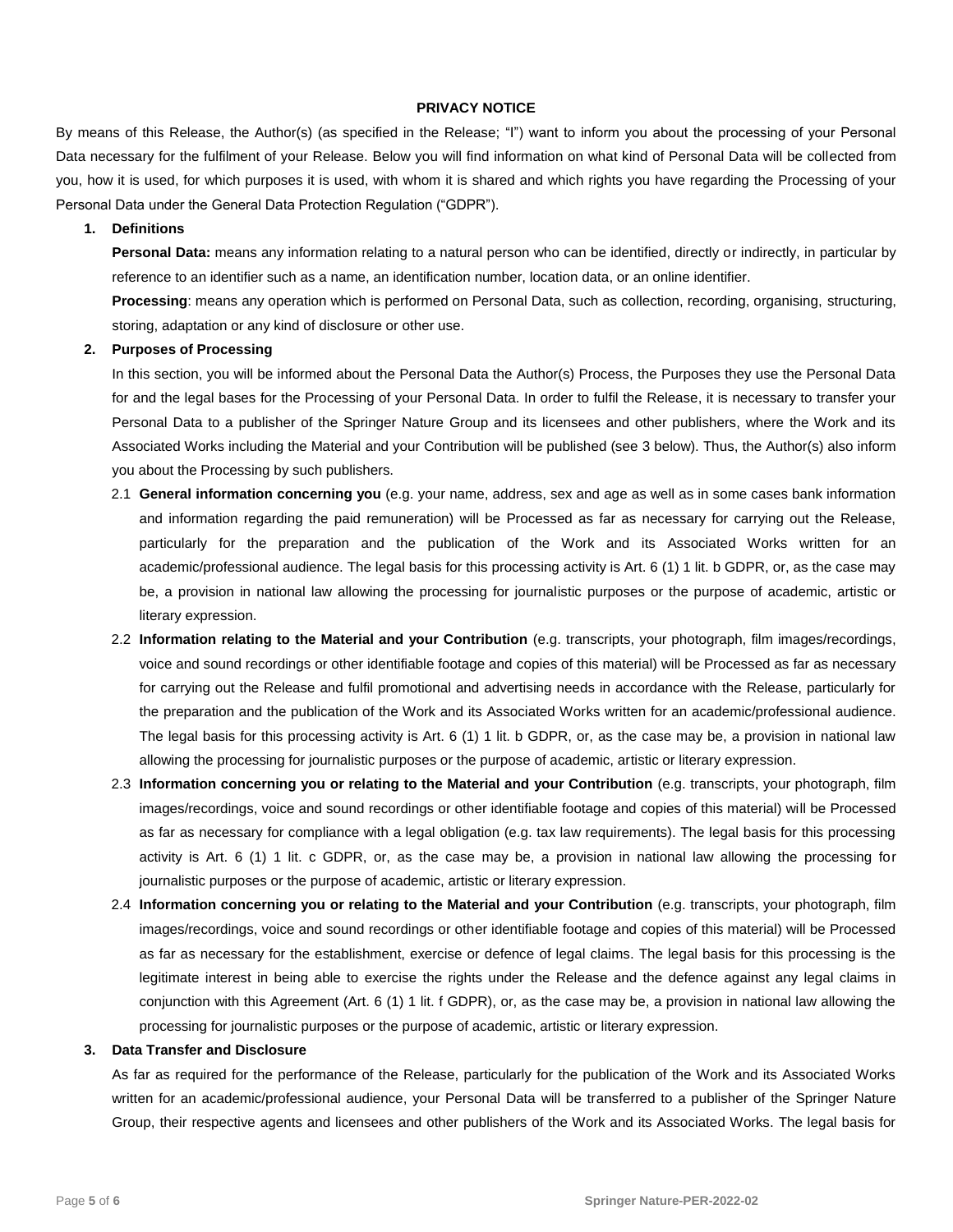## **PRIVACY NOTICE**

By means of this Release, the Author(s) (as specified in the Release; "I") want to inform you about the processing of your Personal Data necessary for the fulfilment of your Release. Below you will find information on what kind of Personal Data will be collected from you, how it is used, for which purposes it is used, with whom it is shared and which rights you have regarding the Processing of your Personal Data under the General Data Protection Regulation ("GDPR").

## **1. Definitions**

**Personal Data:** means any information relating to a natural person who can be identified, directly or indirectly, in particular by reference to an identifier such as a name, an identification number, location data, or an online identifier.

**Processing**: means any operation which is performed on Personal Data, such as collection, recording, organising, structuring, storing, adaptation or any kind of disclosure or other use.

## **2. Purposes of Processing**

In this section, you will be informed about the Personal Data the Author(s) Process, the Purposes they use the Personal Data for and the legal bases for the Processing of your Personal Data. In order to fulfil the Release, it is necessary to transfer your Personal Data to a publisher of the Springer Nature Group and its licensees and other publishers, where the Work and its Associated Works including the Material and your Contribution will be published (se[e 3](#page-4-0) below). Thus, the Author(s) also inform you about the Processing by such publishers.

- 2.1 **General information concerning you** (e.g. your name, address, sex and age as well as in some cases bank information and information regarding the paid remuneration) will be Processed as far as necessary for carrying out the Release, particularly for the preparation and the publication of the Work and its Associated Works written for an academic/professional audience. The legal basis for this processing activity is Art. 6 (1) 1 lit. b GDPR, or, as the case may be, a provision in national law allowing the processing for journalistic purposes or the purpose of academic, artistic or literary expression.
- 2.2 **Information relating to the Material and your Contribution** (e.g. transcripts, your photograph, film images/recordings, voice and sound recordings or other identifiable footage and copies of this material) will be Processed as far as necessary for carrying out the Release and fulfil promotional and advertising needs in accordance with the Release, particularly for the preparation and the publication of the Work and its Associated Works written for an academic/professional audience. The legal basis for this processing activity is Art. 6 (1) 1 lit. b GDPR, or, as the case may be, a provision in national law allowing the processing for journalistic purposes or the purpose of academic, artistic or literary expression.
- 2.3 **Information concerning you or relating to the Material and your Contribution** (e.g. transcripts, your photograph, film images/recordings, voice and sound recordings or other identifiable footage and copies of this material) will be Processed as far as necessary for compliance with a legal obligation (e.g. tax law requirements). The legal basis for this processing activity is Art. 6 (1) 1 lit. c GDPR, or, as the case may be, a provision in national law allowing the processing for journalistic purposes or the purpose of academic, artistic or literary expression.
- 2.4 **Information concerning you or relating to the Material and your Contribution** (e.g. transcripts, your photograph, film images/recordings, voice and sound recordings or other identifiable footage and copies of this material) will be Processed as far as necessary for the establishment, exercise or defence of legal claims. The legal basis for this processing is the legitimate interest in being able to exercise the rights under the Release and the defence against any legal claims in conjunction with this Agreement (Art. 6 (1) 1 lit. f GDPR), or, as the case may be, a provision in national law allowing the processing for journalistic purposes or the purpose of academic, artistic or literary expression.

## <span id="page-4-0"></span>**3. Data Transfer and Disclosure**

As far as required for the performance of the Release, particularly for the publication of the Work and its Associated Works written for an academic/professional audience, your Personal Data will be transferred to a publisher of the Springer Nature Group, their respective agents and licensees and other publishers of the Work and its Associated Works. The legal basis for